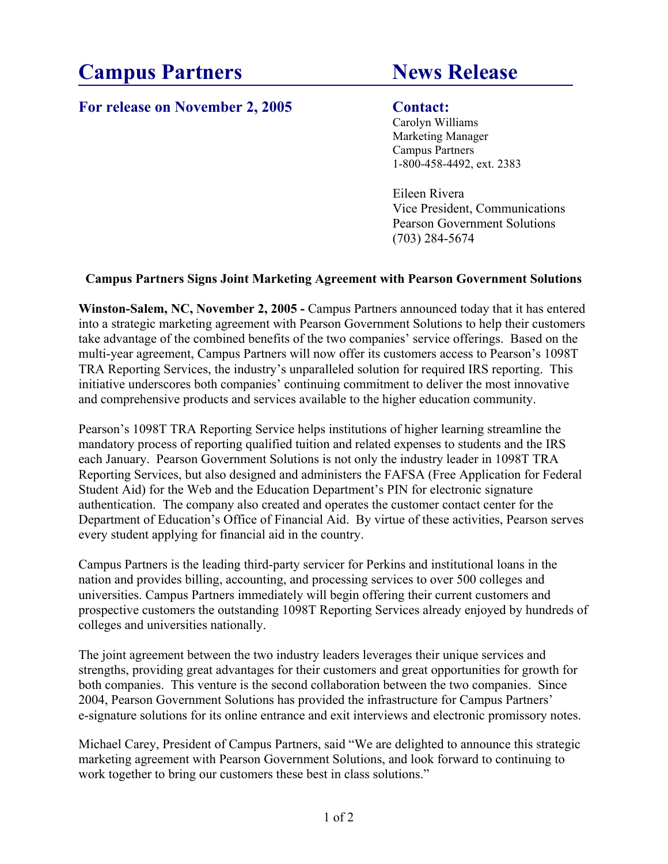# **Campus Partners News Release**

# For release on November 2, 2005 Contact:

Carolyn Williams Marketing Manager Campus Partners 1-800-458-4492, ext. 2383

Eileen Rivera Vice President, Communications Pearson Government Solutions (703) 284-5674

# **Campus Partners Signs Joint Marketing Agreement with Pearson Government Solutions**

**Winston-Salem, NC, November 2, 2005 - Campus Partners announced today that it has entered** into a strategic marketing agreement with Pearson Government Solutions to help their customers take advantage of the combined benefits of the two companies' service offerings. Based on the multi-year agreement, Campus Partners will now offer its customers access to Pearson's 1098T TRA Reporting Services, the industry's unparalleled solution for required IRS reporting. This initiative underscores both companies' continuing commitment to deliver the most innovative and comprehensive products and services available to the higher education community.

Pearson's 1098T TRA Reporting Service helps institutions of higher learning streamline the mandatory process of reporting qualified tuition and related expenses to students and the IRS each January. Pearson Government Solutions is not only the industry leader in 1098T TRA Reporting Services, but also designed and administers the FAFSA (Free Application for Federal Student Aid) for the Web and the Education Department's PIN for electronic signature authentication. The company also created and operates the customer contact center for the Department of Education's Office of Financial Aid. By virtue of these activities, Pearson serves every student applying for financial aid in the country.

Campus Partners is the leading third-party servicer for Perkins and institutional loans in the nation and provides billing, accounting, and processing services to over 500 colleges and universities. Campus Partners immediately will begin offering their current customers and prospective customers the outstanding 1098T Reporting Services already enjoyed by hundreds of colleges and universities nationally.

The joint agreement between the two industry leaders leverages their unique services and strengths, providing great advantages for their customers and great opportunities for growth for both companies. This venture is the second collaboration between the two companies. Since 2004, Pearson Government Solutions has provided the infrastructure for Campus Partners' e-signature solutions for its online entrance and exit interviews and electronic promissory notes.

Michael Carey, President of Campus Partners, said "We are delighted to announce this strategic marketing agreement with Pearson Government Solutions, and look forward to continuing to work together to bring our customers these best in class solutions."